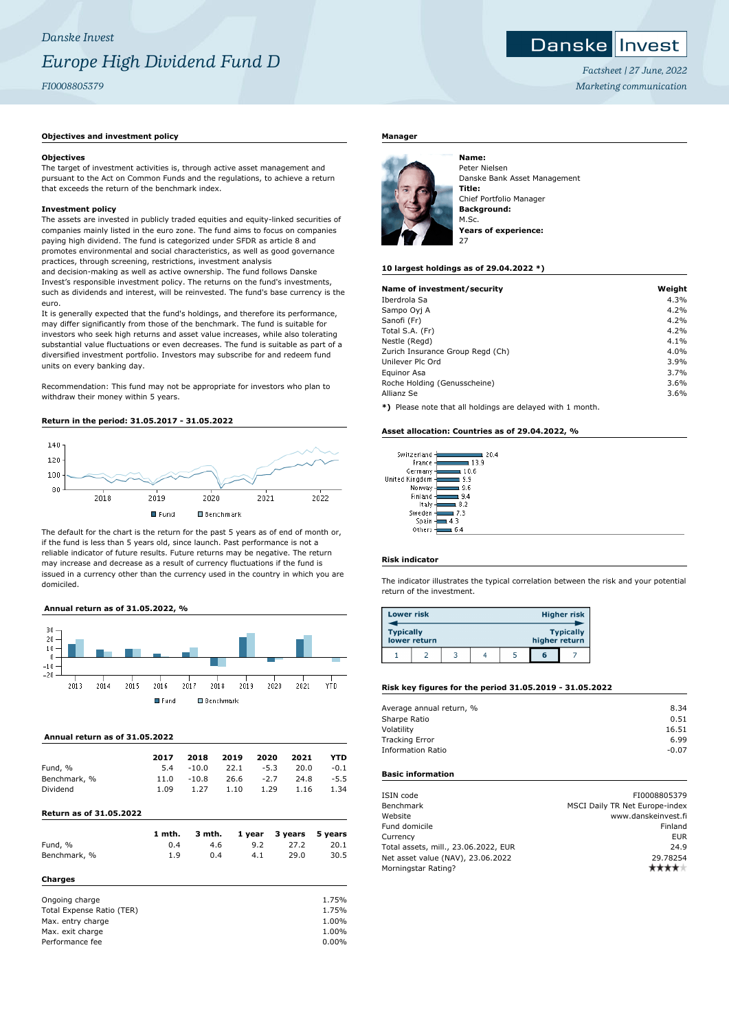# **Objectives and investment policy**

#### **Objectives**

The target of investment activities is, through active asset management and pursuant to the Act on Common Funds and the regulations, to achieve a return that exceeds the return of the benchmark index.

## **Investment policy**

The assets are invested in publicly traded equities and equity-linked securities of companies mainly listed in the euro zone. The fund aims to focus on companies paying high dividend. The fund is categorized under SFDR as article 8 and promotes environmental and social characteristics, as well as good governance practices, through screening, restrictions, investment analysis and decision-making as well as active ownership. The fund follows Danske Invest's responsible investment policy. The returns on the fund's investments, such as dividends and interest, will be reinvested. The fund's base currency is the euro.

It is generally expected that the fund's holdings, and therefore its performance, may differ significantly from those of the benchmark. The fund is suitable for investors who seek high returns and asset value increases, while also tolerating substantial value fluctuations or even decreases. The fund is suitable as part of a diversified investment portfolio. Investors may subscribe for and redeem fund units on every banking day.

Recommendation: This fund may not be appropriate for investors who plan to withdraw their money within 5 years.

# **Return in the period: 31.05.2017 - 31.05.2022**



The default for the chart is the return for the past 5 years as of end of month or, if the fund is less than 5 years old, since launch. Past performance is not a reliable indicator of future results. Future returns may be negative. The return may increase and decrease as a result of currency fluctuations if the fund is issued in a currency other than the currency used in the country in which you are domiciled.

# **Annual return as of 31.05.2022, %**



#### **Annual return as of 31.05.2022**

|              | 2017 | 2018    | 2019 | 2020   | 2021 | <b>YTD</b> |
|--------------|------|---------|------|--------|------|------------|
| Fund, %      | 5.4  | $-10.0$ | 22.1 | $-5.3$ | 20.0 | $-0.1$     |
| Benchmark, % | 11.0 | $-10.8$ | 26.6 | $-2.7$ | 24.8 | $-5.5$     |
| Dividend     | 1.09 | 1.27    | 1.10 | 1.29   | 1.16 | 1.34       |
|              |      |         |      |        |      |            |

## **Return as of 31.05.2022**

|              | 1 mth. |     |     | 3 mth. 1 year 3 years 5 years |      |
|--------------|--------|-----|-----|-------------------------------|------|
| Fund, %      | 0.4    | 4.6 | 9.2 | 27.2                          | 20.1 |
| Benchmark, % | 1.9    | 0.4 | 4.1 | 29.0                          | 30.5 |
|              |        |     |     |                               |      |

# **Charges**

| Ongoing charge            | 1.75%    |
|---------------------------|----------|
| Total Expense Ratio (TER) | 1.75%    |
| Max. entry charge         | 1.00%    |
| Max. exit charge          | 1.00%    |
| Performance fee           | $0.00\%$ |
|                           |          |

#### **Manager**



Peter Nielsen Danske Bank Asset Management **Title:** Chief Portfolio Manager **Background:** M.Sc. **Years of experience:** 27

#### **10 largest holdings as of 29.04.2022 \*)**

| Name of investment/security      | Weight |
|----------------------------------|--------|
| Iberdrola Sa                     | 4.3%   |
| Sampo Oyj A                      | 4.2%   |
| Sanofi (Fr)                      | 4.2%   |
| Total S.A. (Fr)                  | 4.2%   |
| Nestle (Regd)                    | 4.1%   |
| Zurich Insurance Group Regd (Ch) | 4.0%   |
| Unilever Plc Ord                 | 3.9%   |
| Equinor Asa                      | 3.7%   |
| Roche Holding (Genusscheine)     | 3.6%   |
| Allianz Se                       | 3.6%   |

**\*)** Please note that all holdings are delayed with 1 month.

#### **Asset allocation: Countries as of 29.04.2022, %**

| Switzerland    | 20.4 |
|----------------|------|
| France         | 13.9 |
| Germany        | 10.6 |
| United Kingdom | ۹۹   |
| Norway         | 9.6  |
| Finland        | 9.4  |
| Italy          | 82   |
| Sweden         | 7.3  |
| Spain          | 43   |
| Others         | 64   |
|                |      |

#### **Risk indicator**

The indicator illustrates the typical correlation between the risk and your potential return of the investment.

| <b>Lower risk</b> |              |  |               | <b>Higher risk</b> |
|-------------------|--------------|--|---------------|--------------------|
| <b>Typically</b>  | lower return |  | higher return | <b>Typically</b>   |
|                   |              |  |               |                    |

#### **Risk key figures for the period 31.05.2019 - 31.05.2022**

| Average annual return, % | 8.34    |
|--------------------------|---------|
| Sharpe Ratio             | 0.51    |
| Volatility               | 16.51   |
| <b>Tracking Error</b>    | 6.99    |
| <b>Information Ratio</b> | $-0.07$ |
|                          |         |

#### **Basic information**

| ISIN code                            | FI0008805379                   |
|--------------------------------------|--------------------------------|
| Benchmark                            | MSCI Daily TR Net Europe-index |
| Website                              | www.danskeinvest.fi            |
| Fund domicile                        | Finland                        |
| Currency                             | <b>EUR</b>                     |
| Total assets, mill., 23.06.2022, EUR | 24.9                           |
| Net asset value (NAV), 23.06.2022    | 29.78254                       |
| Morningstar Rating?                  |                                |



*Factsheet | 27 June, 2022 Marketing communication*